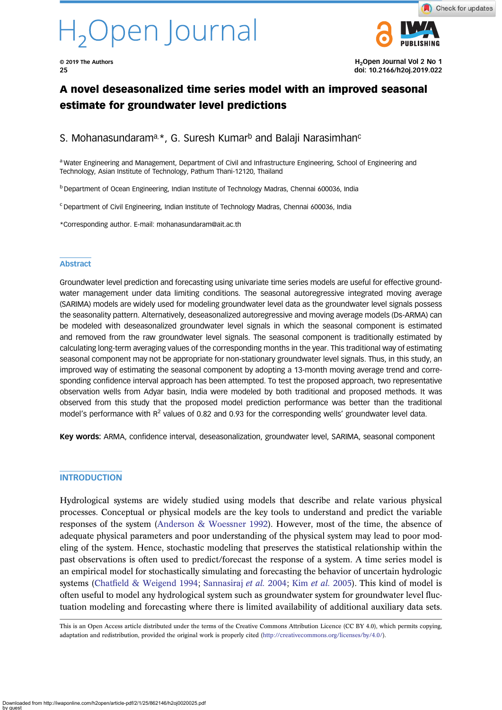# H<sub>2</sub>Open Journal



 $\bullet$  2019 The Authors  $\bullet$  2019 The Authors  $\bullet$  2019 The Authors  $\bullet$  2019 The Authors  $\bullet$  25 25 doi: 10.2166/h2oj.2019.022

# A novel deseasonalized time series model with an improved seasonal estimate for groundwater level predictions

# S. Mohanasundaram<sup>a,\*</sup>, G. Suresh Kumar<sup>b</sup> and Balaii Narasimhan<sup>c</sup>

a Water Engineering and Management, Department of Civil and Infrastructure Engineering, School of Engineering and Technology, Asian Institute of Technology, Pathum Thani-12120, Thailand

<sup>b</sup> Department of Ocean Engineering, Indian Institute of Technology Madras, Chennai 600036, India

<sup>c</sup> Department of Civil Engineering, Indian Institute of Technology Madras, Chennai 600036, India

\*Corresponding author. E-mail: mohanasundaram@ait.ac.th

# Abstract

Groundwater level prediction and forecasting using univariate time series models are useful for effective groundwater management under data limiting conditions. The seasonal autoregressive integrated moving average (SARIMA) models are widely used for modeling groundwater level data as the groundwater level signals possess the seasonality pattern. Alternatively, deseasonalized autoregressive and moving average models (Ds-ARMA) can be modeled with deseasonalized groundwater level signals in which the seasonal component is estimated and removed from the raw groundwater level signals. The seasonal component is traditionally estimated by calculating long-term averaging values of the corresponding months in the year. This traditional way of estimating seasonal component may not be appropriate for non-stationary groundwater level signals. Thus, in this study, an improved way of estimating the seasonal component by adopting a 13-month moving average trend and corresponding confidence interval approach has been attempted. To test the proposed approach, two representative observation wells from Adyar basin, India were modeled by both traditional and proposed methods. It was observed from this study that the proposed model prediction performance was better than the traditional model's performance with  $R^2$  values of 0.82 and 0.93 for the corresponding wells' groundwater level data.

Key words: ARMA, confidence interval, deseasonalization, groundwater level, SARIMA, seasonal component

# **INTRODUCTION**

Hydrological systems are widely studied using models that describe and relate various physical processes. Conceptual or physical models are the key tools to understand and predict the variable responses of the system (Anderson & Woessner 1992). However, most of the time, the absence of adequate physical parameters and poor understanding of the physical system may lead to poor modeling of the system. Hence, stochastic modeling that preserves the statistical relationship within the past observations is often used to predict/forecast the response of a system. A time series model is an empirical model for stochastically simulating and forecasting the behavior of uncertain hydrologic systems (Chatfield & Weigend 1994; Sannasiraj *et al.* 2004; Kim *et al.* 2005). This kind of model is often useful to model any hydrological system such as groundwater system for groundwater level fluctuation modeling and forecasting where there is limited availability of additional auxiliary data sets.

This is an Open Access article distributed under the terms of the Creative Commons Attribution Licence (CC BY 4.0), which permits copying, adaptation and redistribution, provided the original work is properly cited (http://creativecommons.org/licenses/by/4.0/).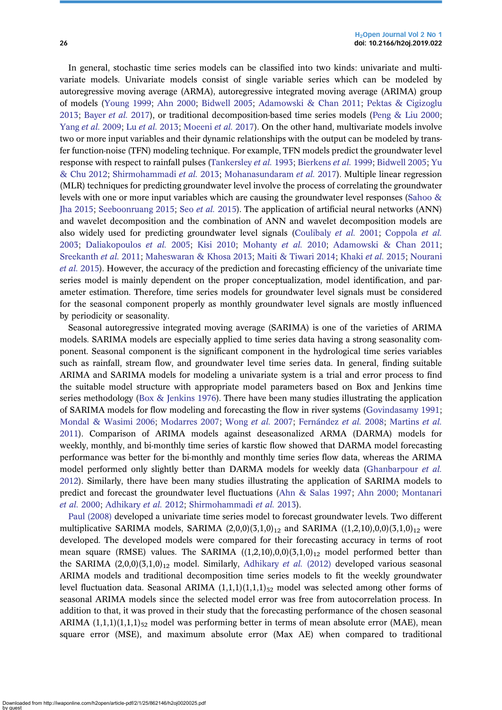In general, stochastic time series models can be classified into two kinds: univariate and multivariate models. Univariate models consist of single variable series which can be modeled by autoregressive moving average (ARMA), autoregressive integrated moving average (ARIMA) group of models (Young 1999; Ahn 2000; Bidwell 2005; Adamowski & Chan 2011; Pektas & Cigizoglu 2013; Bayer *et al.* 2017), or traditional decomposition-based time series models (Peng & Liu 2000; Yang *et al.* 2009; Lu *et al.* 2013; Moeeni *et al.* 2017). On the other hand, multivariate models involve two or more input variables and their dynamic relationships with the output can be modeled by transfer function-noise (TFN) modeling technique. For example, TFN models predict the groundwater level response with respect to rainfall pulses (Tankersley *et al.* 1993; Bierkens *et al.* 1999; Bidwell 2005; Yu & Chu 2012; Shirmohammadi *et al.* 2013; Mohanasundaram *et al.* 2017). Multiple linear regression (MLR) techniques for predicting groundwater level involve the process of correlating the groundwater levels with one or more input variables which are causing the groundwater level responses (Sahoo & Jha 2015; Seeboonruang 2015; Seo *et al.* 2015). The application of artificial neural networks (ANN) and wavelet decomposition and the combination of ANN and wavelet decomposition models are also widely used for predicting groundwater level signals (Coulibaly *et al.* 2001; Coppola *et al.* 2003; Daliakopoulos *et al.* 2005; Kisi 2010; Mohanty *et al.* 2010; Adamowski & Chan 2011; Sreekanth *et al.* 2011; Maheswaran & Khosa 2013; Maiti & Tiwari 2014; Khaki *et al.* 2015; Nourani *et al.* 2015). However, the accuracy of the prediction and forecasting efficiency of the univariate time series model is mainly dependent on the proper conceptualization, model identification, and parameter estimation. Therefore, time series models for groundwater level signals must be considered for the seasonal component properly as monthly groundwater level signals are mostly influenced by periodicity or seasonality.

Seasonal autoregressive integrated moving average (SARIMA) is one of the varieties of ARIMA models. SARIMA models are especially applied to time series data having a strong seasonality component. Seasonal component is the significant component in the hydrological time series variables such as rainfall, stream flow, and groundwater level time series data. In general, finding suitable ARIMA and SARIMA models for modeling a univariate system is a trial and error process to find the suitable model structure with appropriate model parameters based on Box and Jenkins time series methodology (Box  $\&$  Jenkins 1976). There have been many studies illustrating the application of SARIMA models for flow modeling and forecasting the flow in river systems (Govindasamy 1991; Mondal & Wasimi 2006; Modarres 2007; Wong *et al.* 2007; Fernández *et al.* 2008; Martins *et al.* 2011). Comparison of ARIMA models against deseasonalized ARMA (DARMA) models for weekly, monthly, and bi-monthly time series of karstic flow showed that DARMA model forecasting performance was better for the bi-monthly and monthly time series flow data, whereas the ARIMA model performed only slightly better than DARMA models for weekly data (Ghanbarpour *et al.* 2012). Similarly, there have been many studies illustrating the application of SARIMA models to predict and forecast the groundwater level fluctuations (Ahn & Salas 1997; Ahn 2000; Montanari *et al.* 2000; Adhikary *et al.* 2012; Shirmohammadi *et al.* 2013).

Paul (2008) developed a univariate time series model to forecast groundwater levels. Two different multiplicative SARIMA models, SARIMA  $(2,0,0)(3,1,0)_{12}$  and SARIMA  $((1,2,10),0,0)(3,1,0)_{12}$  were developed. The developed models were compared for their forecasting accuracy in terms of root mean square (RMSE) values. The SARIMA  $((1,2,10),0,0)(3,1,0)_{12}$  model performed better than the SARIMA  $(2,0,0)(3,1,0)_{12}$  model. Similarly, Adhikary *et al.* (2012) developed various seasonal ARIMA models and traditional decomposition time series models to fit the weekly groundwater level fluctuation data. Seasonal ARIMA  $(1,1,1)(1,1,1)_{52}$  model was selected among other forms of seasonal ARIMA models since the selected model error was free from autocorrelation process. In addition to that, it was proved in their study that the forecasting performance of the chosen seasonal ARIMA  $(1,1,1)(1,1,1)_{52}$  model was performing better in terms of mean absolute error (MAE), mean square error (MSE), and maximum absolute error (Max AE) when compared to traditional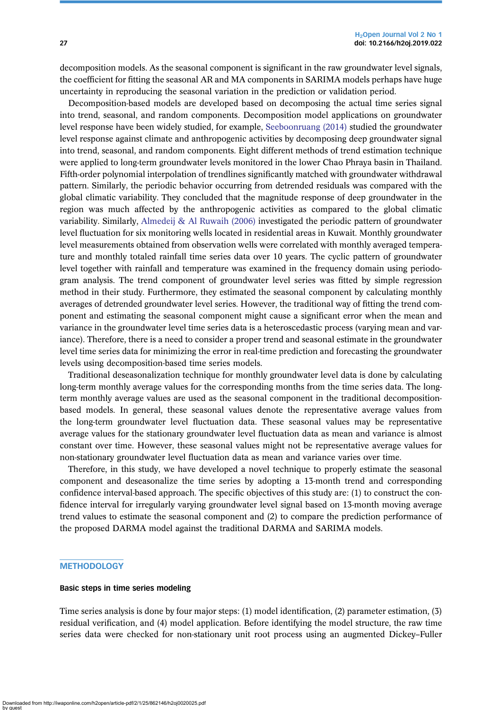decomposition models. As the seasonal component is significant in the raw groundwater level signals, the coefficient for fitting the seasonal AR and MA components in SARIMA models perhaps have huge uncertainty in reproducing the seasonal variation in the prediction or validation period.

Decomposition-based models are developed based on decomposing the actual time series signal into trend, seasonal, and random components. Decomposition model applications on groundwater level response have been widely studied, for example, Seeboonruang (2014) studied the groundwater level response against climate and anthropogenic activities by decomposing deep groundwater signal into trend, seasonal, and random components. Eight different methods of trend estimation technique were applied to long-term groundwater levels monitored in the lower Chao Phraya basin in Thailand. Fifth-order polynomial interpolation of trendlines significantly matched with groundwater withdrawal pattern. Similarly, the periodic behavior occurring from detrended residuals was compared with the global climatic variability. They concluded that the magnitude response of deep groundwater in the region was much affected by the anthropogenic activities as compared to the global climatic variability. Similarly, Almedeij & Al Ruwaih (2006) investigated the periodic pattern of groundwater level fluctuation for six monitoring wells located in residential areas in Kuwait. Monthly groundwater level measurements obtained from observation wells were correlated with monthly averaged temperature and monthly totaled rainfall time series data over 10 years. The cyclic pattern of groundwater level together with rainfall and temperature was examined in the frequency domain using periodogram analysis. The trend component of groundwater level series was fitted by simple regression method in their study. Furthermore, they estimated the seasonal component by calculating monthly averages of detrended groundwater level series. However, the traditional way of fitting the trend component and estimating the seasonal component might cause a significant error when the mean and variance in the groundwater level time series data is a heteroscedastic process (varying mean and variance). Therefore, there is a need to consider a proper trend and seasonal estimate in the groundwater level time series data for minimizing the error in real-time prediction and forecasting the groundwater levels using decomposition-based time series models.

Traditional deseasonalization technique for monthly groundwater level data is done by calculating long-term monthly average values for the corresponding months from the time series data. The longterm monthly average values are used as the seasonal component in the traditional decompositionbased models. In general, these seasonal values denote the representative average values from the long-term groundwater level fluctuation data. These seasonal values may be representative average values for the stationary groundwater level fluctuation data as mean and variance is almost constant over time. However, these seasonal values might not be representative average values for non-stationary groundwater level fluctuation data as mean and variance varies over time.

Therefore, in this study, we have developed a novel technique to properly estimate the seasonal component and deseasonalize the time series by adopting a 13-month trend and corresponding confidence interval-based approach. The specific objectives of this study are: (1) to construct the confidence interval for irregularly varying groundwater level signal based on 13-month moving average trend values to estimate the seasonal component and (2) to compare the prediction performance of the proposed DARMA model against the traditional DARMA and SARIMA models.

#### **METHODOLOGY**

#### Basic steps in time series modeling

Time series analysis is done by four major steps: (1) model identification, (2) parameter estimation, (3) residual verification, and (4) model application. Before identifying the model structure, the raw time series data were checked for non-stationary unit root process using an augmented Dickey–Fuller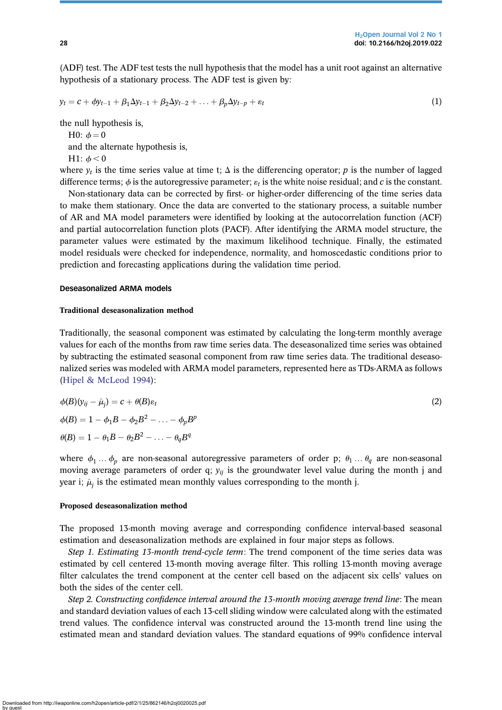(ADF) test. The ADF test tests the null hypothesis that the model has a unit root against an alternative hypothesis of a stationary process. The ADF test is given by:

$$
y_t = c + \phi y_{t-1} + \beta_1 \Delta y_{t-1} + \beta_2 \Delta y_{t-2} + \ldots + \beta_p \Delta y_{t-p} + \varepsilon_t
$$
\n<sup>(1)</sup>

the null hypothesis is,

H0:  $\phi = 0$ and the alternate hypothesis is,

H1:  $\phi$  < 0

where  $y_t$  is the time series value at time t;  $\Delta$  is the differencing operator; *p* is the number of lagged difference terms;  $\phi$  is the autoregressive parameter;  $\varepsilon_t$  is the white noise residual; and *c* is the constant.

Non-stationary data can be corrected by first- or higher-order differencing of the time series data to make them stationary. Once the data are converted to the stationary process, a suitable number of AR and MA model parameters were identified by looking at the autocorrelation function (ACF) and partial autocorrelation function plots (PACF). After identifying the ARMA model structure, the parameter values were estimated by the maximum likelihood technique. Finally, the estimated model residuals were checked for independence, normality, and homoscedastic conditions prior to prediction and forecasting applications during the validation time period.

#### Deseasonalized ARMA models

#### Traditional deseasonalization method

Traditionally, the seasonal component was estimated by calculating the long-term monthly average values for each of the months from raw time series data. The deseasonalized time series was obtained by subtracting the estimated seasonal component from raw time series data. The traditional deseasonalized series was modeled with ARMA model parameters, represented here as TDs-ARMA as follows (Hipel & McLeod 1994):

$$
\phi(B)(y_{ij} - \hat{\mu}_j) = c + \theta(B)\varepsilon_t
$$
  
\n
$$
\phi(B) = 1 - \phi_1 B - \phi_2 B^2 - \dots - \phi_p B^p
$$
  
\n
$$
\theta(B) = 1 - \theta_1 B - \theta_2 B^2 - \dots - \theta_q B^q
$$
\n(2)

where  $\phi_1 \dots \phi_p$  are non-seasonal autoregressive parameters of order p;  $\theta_1 \dots \theta_q$  are non-seasonal moving average parameters of order q;  $y_{ij}$  is the groundwater level value during the month j and year i;  $\hat{\mu}_j$  is the estimated mean monthly values corresponding to the month j.

#### Proposed deseasonalization method

The proposed 13-month moving average and corresponding confidence interval-based seasonal estimation and deseasonalization methods are explained in four major steps as follows.

*Step 1. Estimating 13-month trend-cycle term*: The trend component of the time series data was estimated by cell centered 13-month moving average filter. This rolling 13-month moving average filter calculates the trend component at the center cell based on the adjacent six cells' values on both the sides of the center cell.

*Step 2. Constructing con*fi*dence interval around the 13-month moving average trend line*: The mean and standard deviation values of each 13-cell sliding window were calculated along with the estimated trend values. The confidence interval was constructed around the 13-month trend line using the estimated mean and standard deviation values. The standard equations of 99% confidence interval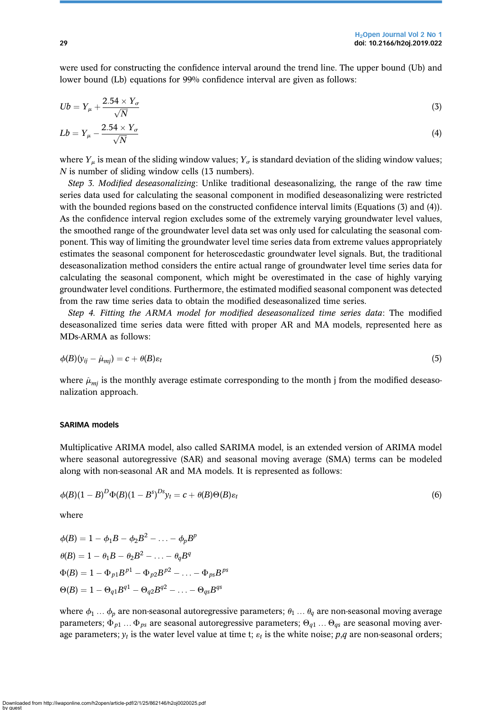were used for constructing the confidence interval around the trend line. The upper bound (Ub) and lower bound (Lb) equations for 99% confidence interval are given as follows:

$$
Ub = Y_{\mu} + \frac{2.54 \times Y_{\sigma}}{\sqrt{N}} \tag{3}
$$

$$
Lb = Y_{\mu} - \frac{2.54 \times Y_{\sigma}}{\sqrt{N}} \tag{4}
$$

where  $Y_\mu$  is mean of the sliding window values;  $Y_\sigma$  is standard deviation of the sliding window values; *N* is number of sliding window cells (13 numbers).

*Step 3. Modi*fi*ed deseasonalizing*: Unlike traditional deseasonalizing, the range of the raw time series data used for calculating the seasonal component in modified deseasonalizing were restricted with the bounded regions based on the constructed confidence interval limits (Equations (3) and (4)). As the confidence interval region excludes some of the extremely varying groundwater level values, the smoothed range of the groundwater level data set was only used for calculating the seasonal component. This way of limiting the groundwater level time series data from extreme values appropriately estimates the seasonal component for heteroscedastic groundwater level signals. But, the traditional deseasonalization method considers the entire actual range of groundwater level time series data for calculating the seasonal component, which might be overestimated in the case of highly varying groundwater level conditions. Furthermore, the estimated modified seasonal component was detected from the raw time series data to obtain the modified deseasonalized time series.

*Step 4. Fitting the ARMA model for modi*fi*ed deseasonalized time series data*: The modified deseasonalized time series data were fitted with proper AR and MA models, represented here as MDs-ARMA as follows:

$$
\phi(B)(y_{ij} - \hat{\mu}_{mj}) = c + \theta(B)\varepsilon_t \tag{5}
$$

where  $\hat{\mu}_{mj}$  is the monthly average estimate corresponding to the month j from the modified deseasonalization approach.

#### SARIMA models

Multiplicative ARIMA model, also called SARIMA model, is an extended version of ARIMA model where seasonal autoregressive (SAR) and seasonal moving average (SMA) terms can be modeled along with non-seasonal AR and MA models. It is represented as follows:

$$
\phi(B)(1-B)^D \Phi(B)(1-B^s)^{Ds} y_t = c + \theta(B) \Theta(B) \varepsilon_t \tag{6}
$$

where

$$
\phi(B) = 1 - \phi_1 B - \phi_2 B^2 - \dots - \phi_p B^p
$$
  
\n
$$
\theta(B) = 1 - \theta_1 B - \theta_2 B^2 - \dots - \theta_q B^q
$$
  
\n
$$
\Phi(B) = 1 - \Phi_{p1} B^{p1} - \Phi_{p2} B^{p2} - \dots - \Phi_{ps} B^{ps}
$$
  
\n
$$
\Theta(B) = 1 - \Theta_{q1} B^{q1} - \Theta_{q2} B^{q2} - \dots - \Theta_{qs} B^{qs}
$$

where  $\phi_1 \dots \phi_p$  are non-seasonal autoregressive parameters;  $\theta_1 \dots \theta_q$  are non-seasonal moving average parameters;  $\Phi_{p1}$  ...  $\Phi_{ps}$  are seasonal autoregressive parameters;  $\Theta_{q1}$  ...  $\Theta_{qs}$  are seasonal moving average parameters;  $y_t$  is the water level value at time t;  $\varepsilon_t$  is the white noise;  $p,q$  are non-seasonal orders;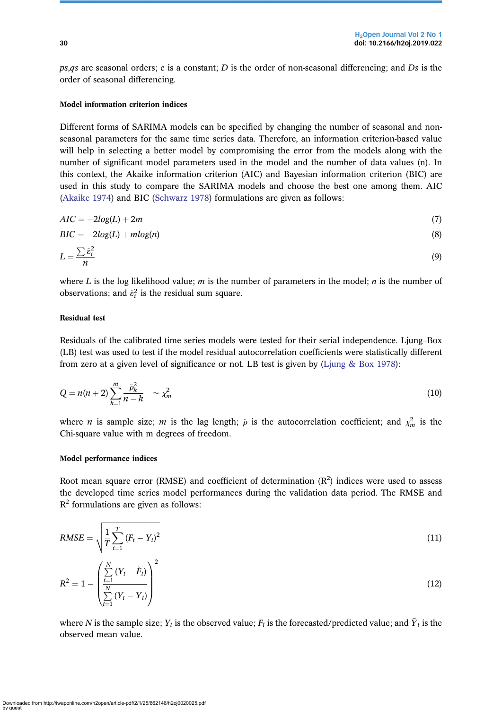*ps*,*qs* are seasonal orders; c is a constant; *D* is the order of non-seasonal differencing; and *Ds* is the order of seasonal differencing.

#### Model information criterion indices

Different forms of SARIMA models can be specified by changing the number of seasonal and nonseasonal parameters for the same time series data. Therefore, an information criterion-based value will help in selecting a better model by compromising the error from the models along with the number of significant model parameters used in the model and the number of data values (n). In this context, the Akaike information criterion (AIC) and Bayesian information criterion (BIC) are used in this study to compare the SARIMA models and choose the best one among them. AIC (Akaike 1974) and BIC (Schwarz 1978) formulations are given as follows:

$$
AIC = -2log(L) + 2m \tag{7}
$$

$$
BIC = -2log(L) + mlog(n) \tag{8}
$$

$$
L = \frac{\sum \hat{\varepsilon}_i^2}{n} \tag{9}
$$

where *L* is the log likelihood value; *m* is the number of parameters in the model; *n* is the number of observations; and  $\hat{\epsilon}_i^2$  is the residual sum square.

# Residual test

Residuals of the calibrated time series models were tested for their serial independence. Ljung–Box (LB) test was used to test if the model residual autocorrelation coefficients were statistically different from zero at a given level of significance or not. LB test is given by (Ljung  $\&$  Box 1978):

$$
Q = n(n+2) \sum_{k=1}^{m} \frac{\hat{\rho}_k^2}{n-k} \sim \chi_m^2
$$
 (10)

where *n* is sample size; *m* is the lag length;  $\hat{\rho}$  is the autocorrelation coefficient; and  $\chi^2_m$  is the Chi-square value with m degrees of freedom.

#### Model performance indices

Root mean square error (RMSE) and coefficient of determination  $(R^2)$  indices were used to assess the developed time series model performances during the validation data period. The RMSE and  $R<sup>2</sup>$  formulations are given as follows:

$$
RMSE = \sqrt{\frac{1}{T} \sum_{t=1}^{T} (F_t - Y_t)^2}
$$
\n
$$
\left(\sum_{t=1}^{N} (Y_t - \hat{Y}_t)\right)^2
$$
\n(11)

$$
R^{2} = 1 - \left(\frac{\sum_{t=1}^{N} (Y_{t} - \hat{F}_{t})}{\sum_{t=1}^{N} (Y_{t} - \bar{Y}_{t})}\right)
$$
(12)

where *N* is the sample size;  $Y_t$  is the observed value;  $F_t$  is the forecasted/predicted value; and  $\bar{Y}_t$  is the observed mean value.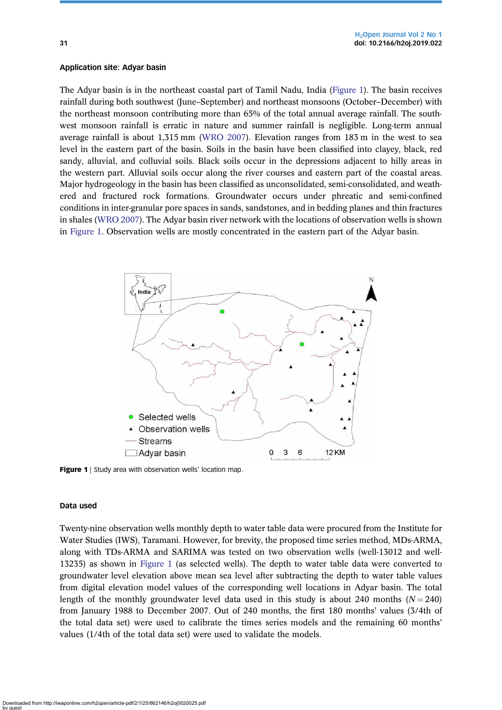#### Application site: Adyar basin

The Adyar basin is in the northeast coastal part of Tamil Nadu, India (Figure 1). The basin receives rainfall during both southwest (June–September) and northeast monsoons (October–December) with the northeast monsoon contributing more than 65% of the total annual average rainfall. The southwest monsoon rainfall is erratic in nature and summer rainfall is negligible. Long-term annual average rainfall is about 1,315 mm (WRO 2007). Elevation ranges from 183 m in the west to sea level in the eastern part of the basin. Soils in the basin have been classified into clayey, black, red sandy, alluvial, and colluvial soils. Black soils occur in the depressions adjacent to hilly areas in the western part. Alluvial soils occur along the river courses and eastern part of the coastal areas. Major hydrogeology in the basin has been classified as unconsolidated, semi-consolidated, and weathered and fractured rock formations. Groundwater occurs under phreatic and semi-confined conditions in inter-granular pore spaces in sands, sandstones, and in bedding planes and thin fractures in shales (WRO 2007). The Adyar basin river network with the locations of observation wells is shown in Figure 1. Observation wells are mostly concentrated in the eastern part of the Adyar basin.



Figure 1 | Study area with observation wells' location map.

#### Data used

Twenty-nine observation wells monthly depth to water table data were procured from the Institute for Water Studies (IWS), Taramani. However, for brevity, the proposed time series method, MDs-ARMA, along with TDs-ARMA and SARIMA was tested on two observation wells (well-13012 and well-13235) as shown in Figure 1 (as selected wells). The depth to water table data were converted to groundwater level elevation above mean sea level after subtracting the depth to water table values from digital elevation model values of the corresponding well locations in Adyar basin. The total length of the monthly groundwater level data used in this study is about 240 months  $(N = 240)$ from January 1988 to December 2007. Out of 240 months, the first 180 months' values (3/4th of the total data set) were used to calibrate the times series models and the remaining 60 months' values (1/4th of the total data set) were used to validate the models.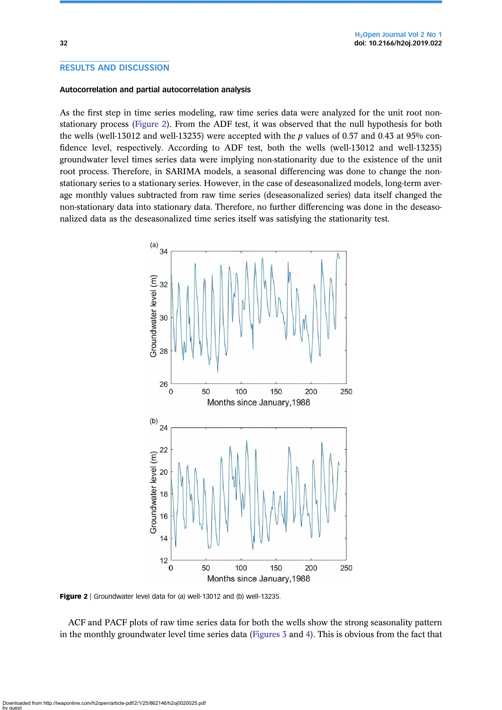#### RESULTS AND DISCUSSION

#### Autocorrelation and partial autocorrelation analysis

As the first step in time series modeling, raw time series data were analyzed for the unit root nonstationary process (Figure 2). From the ADF test, it was observed that the null hypothesis for both the wells (well-13012 and well-13235) were accepted with the *p* values of 0.57 and 0.43 at 95% confidence level, respectively. According to ADF test, both the wells (well-13012 and well-13235) groundwater level times series data were implying non-stationarity due to the existence of the unit root process. Therefore, in SARIMA models, a seasonal differencing was done to change the nonstationary series to a stationary series. However, in the case of deseasonalized models, long-term average monthly values subtracted from raw time series (deseasonalized series) data itself changed the non-stationary data into stationary data. Therefore, no further differencing was done in the deseasonalized data as the deseasonalized time series itself was satisfying the stationarity test.



**Figure 2** | Groundwater level data for (a) well-13012 and (b) well-13235.

ACF and PACF plots of raw time series data for both the wells show the strong seasonality pattern in the monthly groundwater level time series data (Figures 3 and 4). This is obvious from the fact that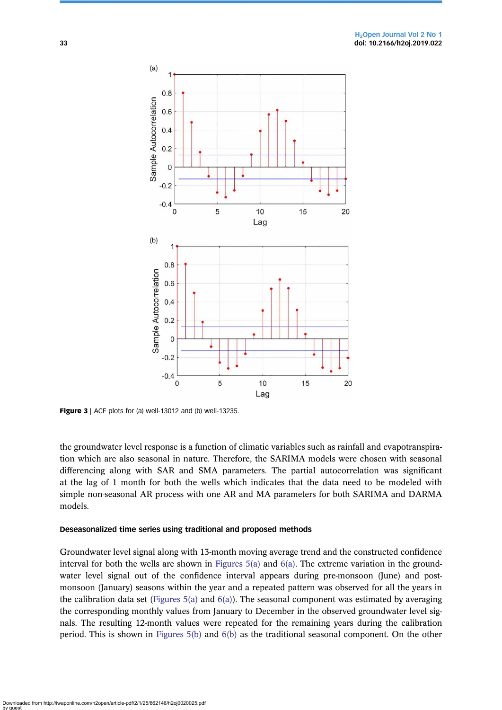

Figure 3 | ACF plots for (a) well-13012 and (b) well-13235.

the groundwater level response is a function of climatic variables such as rainfall and evapotranspiration which are also seasonal in nature. Therefore, the SARIMA models were chosen with seasonal differencing along with SAR and SMA parameters. The partial autocorrelation was significant at the lag of 1 month for both the wells which indicates that the data need to be modeled with simple non-seasonal AR process with one AR and MA parameters for both SARIMA and DARMA models.

# Deseasonalized time series using traditional and proposed methods

Groundwater level signal along with 13-month moving average trend and the constructed confidence interval for both the wells are shown in Figures  $5(a)$  and  $6(a)$ . The extreme variation in the groundwater level signal out of the confidence interval appears during pre-monsoon (June) and postmonsoon (January) seasons within the year and a repeated pattern was observed for all the years in the calibration data set (Figures  $5(a)$  and  $6(a)$ ). The seasonal component was estimated by averaging the corresponding monthly values from January to December in the observed groundwater level signals. The resulting 12-month values were repeated for the remaining years during the calibration period. This is shown in Figures  $5(b)$  and  $6(b)$  as the traditional seasonal component. On the other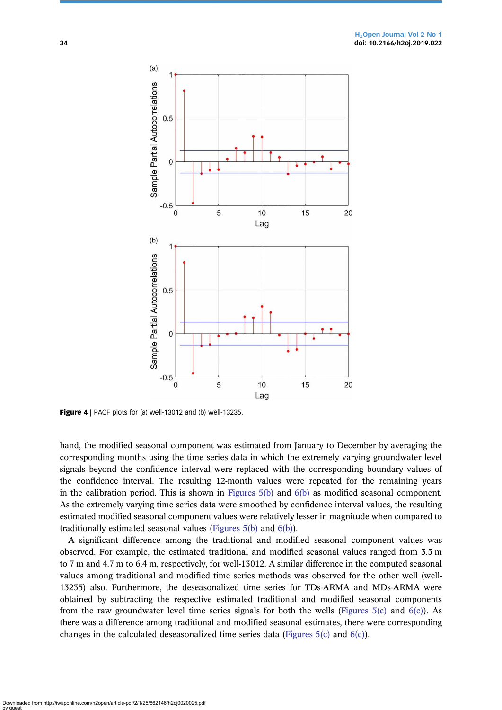

**Figure 4** | PACF plots for (a) well-13012 and (b) well-13235.

hand, the modified seasonal component was estimated from January to December by averaging the corresponding months using the time series data in which the extremely varying groundwater level signals beyond the confidence interval were replaced with the corresponding boundary values of the confidence interval. The resulting 12-month values were repeated for the remaining years in the calibration period. This is shown in Figures 5(b) and 6(b) as modified seasonal component. As the extremely varying time series data were smoothed by confidence interval values, the resulting estimated modified seasonal component values were relatively lesser in magnitude when compared to traditionally estimated seasonal values (Figures 5(b) and 6(b)).

A significant difference among the traditional and modified seasonal component values was observed. For example, the estimated traditional and modified seasonal values ranged from 3.5 m to 7 m and 4.7 m to 6.4 m, respectively, for well-13012. A similar difference in the computed seasonal values among traditional and modified time series methods was observed for the other well (well-13235) also. Furthermore, the deseasonalized time series for TDs-ARMA and MDs-ARMA were obtained by subtracting the respective estimated traditional and modified seasonal components from the raw groundwater level time series signals for both the wells (Figures  $5(c)$  and  $6(c)$ ). As there was a difference among traditional and modified seasonal estimates, there were corresponding changes in the calculated deseasonalized time series data (Figures  $5(c)$  and  $6(c)$ ).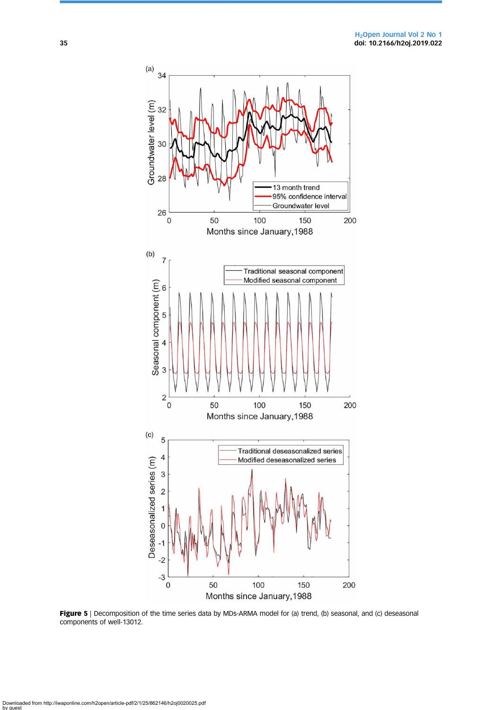

Figure 5 | Decomposition of the time series data by MDs-ARMA model for (a) trend, (b) seasonal, and (c) deseasonal components of well-13012.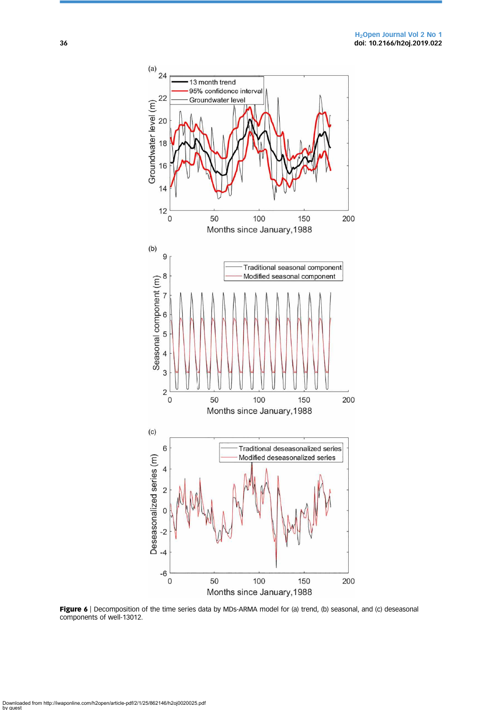

Figure 6 | Decomposition of the time series data by MDs-ARMA model for (a) trend, (b) seasonal, and (c) deseasonal components of well-13012.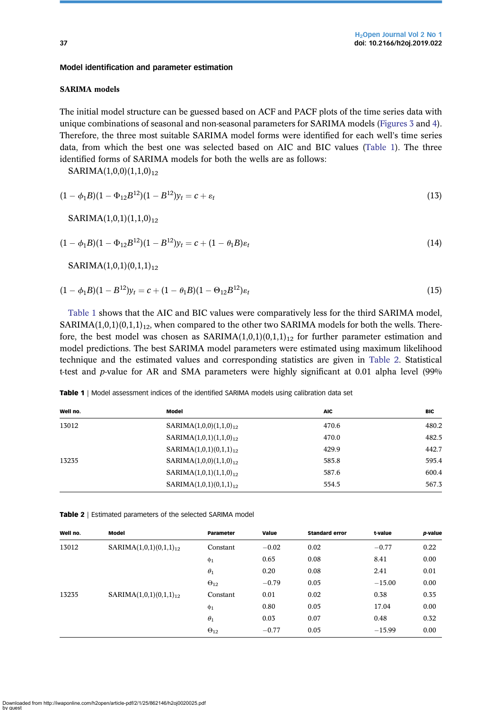# Model identification and parameter estimation

# SARIMA models

The initial model structure can be guessed based on ACF and PACF plots of the time series data with unique combinations of seasonal and non-seasonal parameters for SARIMA models (Figures 3 and 4). Therefore, the three most suitable SARIMA model forms were identified for each well's time series data, from which the best one was selected based on AIC and BIC values (Table 1). The three identified forms of SARIMA models for both the wells are as follows:

 $SARIMA(1,0,0)(1,1,0)_{12}$ 

$$
(1 - \phi_1 B)(1 - \Phi_{12} B^{12})(1 - B^{12})y_t = c + \varepsilon_t
$$
\n(13)

$$
SARIMA(1,0,1)(1,1,0)_{12}
$$

$$
(1 - \phi_1 B)(1 - \Phi_{12} B^{12})(1 - B^{12})y_t = c + (1 - \theta_1 B)\varepsilon_t
$$
\n(14)

 $SARIMA(1,0,1)(0,1,1)<sub>12</sub>$ 

$$
(1 - \phi_1 B)(1 - B^{12})y_t = c + (1 - \theta_1 B)(1 - \Theta_{12} B^{12})\varepsilon_t
$$
\n(15)

Table 1 shows that the AIC and BIC values were comparatively less for the third SARIMA model, SARIMA $(1,0,1)(0,1,1)_{12}$ , when compared to the other two SARIMA models for both the wells. Therefore, the best model was chosen as  $SARIMA(1,0,1)(0,1,1)<sub>12</sub>$  for further parameter estimation and model predictions. The best SARIMA model parameters were estimated using maximum likelihood technique and the estimated values and corresponding statistics are given in Table 2. Statistical t-test and *p*-value for AR and SMA parameters were highly significant at 0.01 alpha level (99%

| Well no. | Model                       | AIC.  | BIC   |
|----------|-----------------------------|-------|-------|
| 13012    | $SARIMA(1,0,0)(1,1,0)_{12}$ | 470.6 | 480.2 |
|          | $SARIMA(1,0,1)(1,1,0)_{12}$ | 470.0 | 482.5 |
|          | $SARIMA(1,0,1)(0,1,1)_{12}$ | 429.9 | 442.7 |
| 13235    | $SARIMA(1,0,0)(1,1,0)_{12}$ | 585.8 | 595.4 |
|          | $SARIMA(1,0,1)(1,1,0)_{12}$ | 587.6 | 600.4 |
|          | $SARIMA(1,0,1)(0,1,1)_{12}$ | 554.5 | 567.3 |

Table 1 | Model assessment indices of the identified SARIMA models using calibration data set

Table 2 | Estimated parameters of the selected SARIMA model

| Well no. | Model                              | <b>Parameter</b> | Value   | <b>Standard error</b> | t-value  | p-value |
|----------|------------------------------------|------------------|---------|-----------------------|----------|---------|
| 13012    | SARIMA(1,0,1)(0,1,1) <sub>12</sub> | Constant         | $-0.02$ | 0.02                  | $-0.77$  | 0.22    |
|          |                                    | $\phi_1$         | 0.65    | 0.08                  | 8.41     | 0.00    |
|          |                                    | $\theta_1$       | 0.20    | 0.08                  | 2.41     | 0.01    |
|          |                                    | $\Theta_{12}$    | $-0.79$ | 0.05                  | $-15.00$ | 0.00    |
| 13235    | SARIMA(1,0,1)(0,1,1) <sub>12</sub> | Constant         | 0.01    | 0.02                  | 0.38     | 0.35    |
|          |                                    | $\phi_1$         | 0.80    | 0.05                  | 17.04    | 0.00    |
|          |                                    | $\theta_1$       | 0.03    | 0.07                  | 0.48     | 0.32    |
|          |                                    | $\Theta_{12}$    | $-0.77$ | 0.05                  | $-15.99$ | 0.00    |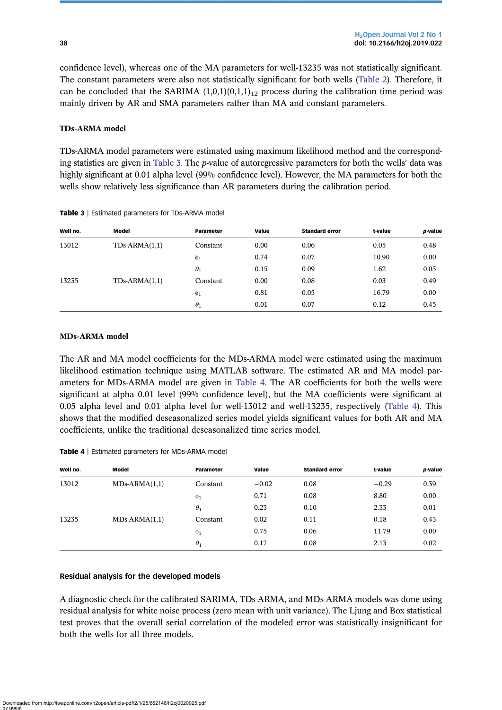confidence level), whereas one of the MA parameters for well-13235 was not statistically significant. The constant parameters were also not statistically significant for both wells (Table 2). Therefore, it can be concluded that the SARIMA  $(1,0,1)(0,1,1)_{12}$  process during the calibration time period was mainly driven by AR and SMA parameters rather than MA and constant parameters.

# TDs-ARMA model

TDs-ARMA model parameters were estimated using maximum likelihood method and the corresponding statistics are given in Table 3. The *p*-value of autoregressive parameters for both the wells' data was highly significant at 0.01 alpha level (99% confidence level). However, the MA parameters for both the wells show relatively less significance than AR parameters during the calibration period.

| Well no. | Model           | Parameter  | Value | <b>Standard error</b> | t-value | p-value |
|----------|-----------------|------------|-------|-----------------------|---------|---------|
| 13012    | $TDs-ARMA(1,1)$ | Constant   | 0.00  | 0.06                  | 0.05    | 0.48    |
|          |                 | $\Phi_1$   | 0.74  | 0.07                  | 10.90   | 0.00    |
|          |                 | $\theta_1$ | 0.15  | 0.09                  | 1.62    | 0.05    |
| 13235    | $TDs-ARMA(1,1)$ | Constant   | 0.00  | 0.08                  | 0.03    | 0.49    |
|          |                 | $\phi_1$   | 0.81  | 0.05                  | 16.79   | 0.00    |
|          |                 | $\theta_1$ | 0.01  | 0.07                  | 0.12    | 0.45    |

# MDs-ARMA model

The AR and MA model coefficients for the MDs-ARMA model were estimated using the maximum likelihood estimation technique using MATLAB software. The estimated AR and MA model parameters for MDs-ARMA model are given in Table 4. The AR coefficients for both the wells were significant at alpha 0.01 level (99% confidence level), but the MA coefficients were significant at 0.05 alpha level and 0.01 alpha level for well-13012 and well-13235, respectively (Table 4). This shows that the modified deseasonalized series model yields significant values for both AR and MA coefficients, unlike the traditional deseasonalized time series model.

|  |  |  | Table 4   Estimated parameters for MDs-ARMA model |  |
|--|--|--|---------------------------------------------------|--|
|--|--|--|---------------------------------------------------|--|

| Well no. | Model           | Parameter  | Value   | <b>Standard error</b> | t-value | p-value |
|----------|-----------------|------------|---------|-----------------------|---------|---------|
| 13012    | $MDs-ARMA(1,1)$ | Constant   | $-0.02$ | 0.08                  | $-0.29$ | 0.39    |
|          |                 | $\Phi_1$   | 0.71    | 0.08                  | 8.80    | 0.00    |
|          |                 | $\theta_1$ | 0.23    | 0.10                  | 2.33    | 0.01    |
| 13235    | $MDs-ARMA(1,1)$ | Constant   | 0.02    | 0.11                  | 0.18    | 0.43    |
|          |                 | $\Phi_1$   | 0.75    | 0.06                  | 11.79   | 0.00    |
|          |                 | $\theta_1$ | 0.17    | 0.08                  | 2.13    | 0.02    |

# Residual analysis for the developed models

A diagnostic check for the calibrated SARIMA, TDs-ARMA, and MDs-ARMA models was done using residual analysis for white noise process (zero mean with unit variance). The Ljung and Box statistical test proves that the overall serial correlation of the modeled error was statistically insignificant for both the wells for all three models.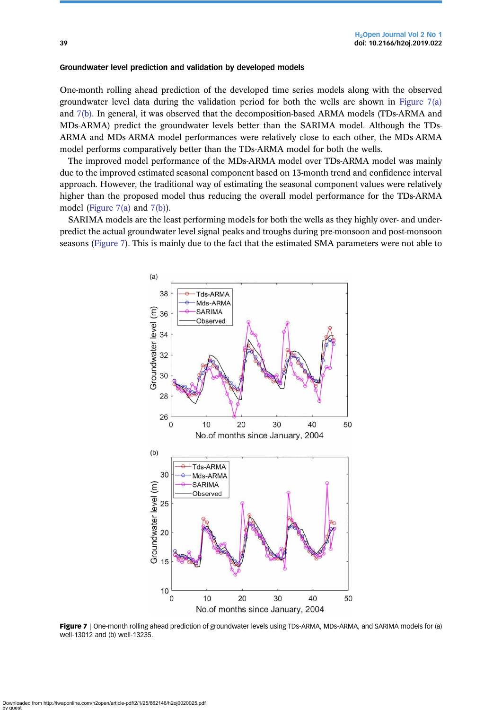#### Groundwater level prediction and validation by developed models

One-month rolling ahead prediction of the developed time series models along with the observed groundwater level data during the validation period for both the wells are shown in Figure 7(a) and 7(b). In general, it was observed that the decomposition-based ARMA models (TDs-ARMA and MDs-ARMA) predict the groundwater levels better than the SARIMA model. Although the TDs-ARMA and MDs-ARMA model performances were relatively close to each other, the MDs-ARMA model performs comparatively better than the TDs-ARMA model for both the wells.

The improved model performance of the MDs-ARMA model over TDs-ARMA model was mainly due to the improved estimated seasonal component based on 13-month trend and confidence interval approach. However, the traditional way of estimating the seasonal component values were relatively higher than the proposed model thus reducing the overall model performance for the TDs-ARMA model (Figure 7(a) and 7(b)).

SARIMA models are the least performing models for both the wells as they highly over- and underpredict the actual groundwater level signal peaks and troughs during pre-monsoon and post-monsoon seasons (Figure 7). This is mainly due to the fact that the estimated SMA parameters were not able to



Figure 7 | One-month rolling ahead prediction of groundwater levels using TDs-ARMA, MDs-ARMA, and SARIMA models for (a) well-13012 and (b) well-13235.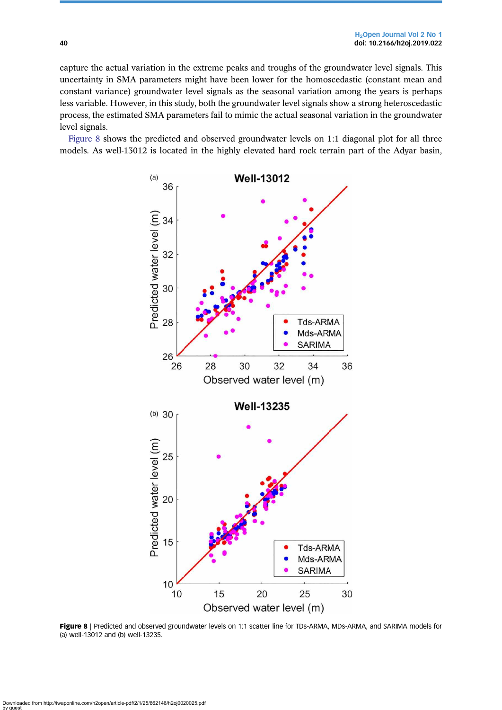capture the actual variation in the extreme peaks and troughs of the groundwater level signals. This uncertainty in SMA parameters might have been lower for the homoscedastic (constant mean and constant variance) groundwater level signals as the seasonal variation among the years is perhaps less variable. However, in this study, both the groundwater level signals show a strong heteroscedastic process, the estimated SMA parameters fail to mimic the actual seasonal variation in the groundwater level signals.

Figure 8 shows the predicted and observed groundwater levels on 1:1 diagonal plot for all three models. As well-13012 is located in the highly elevated hard rock terrain part of the Adyar basin,



Figure 8 | Predicted and observed groundwater levels on 1:1 scatter line for TDs-ARMA, MDs-ARMA, and SARIMA models for (a) well-13012 and (b) well-13235.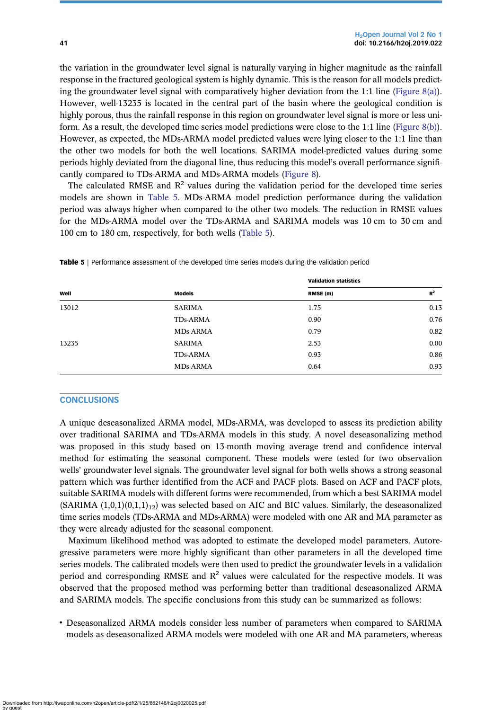the variation in the groundwater level signal is naturally varying in higher magnitude as the rainfall response in the fractured geological system is highly dynamic. This is the reason for all models predicting the groundwater level signal with comparatively higher deviation from the 1:1 line (Figure 8(a)). However, well-13235 is located in the central part of the basin where the geological condition is highly porous, thus the rainfall response in this region on groundwater level signal is more or less uniform. As a result, the developed time series model predictions were close to the 1:1 line (Figure 8(b)). However, as expected, the MDs-ARMA model predicted values were lying closer to the 1:1 line than the other two models for both the well locations. SARIMA model-predicted values during some periods highly deviated from the diagonal line, thus reducing this model's overall performance significantly compared to TDs-ARMA and MDs-ARMA models (Figure 8).

The calculated RMSE and  $R^2$  values during the validation period for the developed time series models are shown in Table 5. MDs-ARMA model prediction performance during the validation period was always higher when compared to the other two models. The reduction in RMSE values for the MDs-ARMA model over the TDs-ARMA and SARIMA models was 10 cm to 30 cm and 100 cm to 180 cm, respectively, for both wells (Table 5).

|       |                 | <b>Validation statistics</b> |       |  |
|-------|-----------------|------------------------------|-------|--|
| Well  | <b>Models</b>   | RMSE (m)                     | $R^2$ |  |
| 13012 | <b>SARIMA</b>   | 1.75                         | 0.13  |  |
|       | <b>TDs-ARMA</b> | 0.90                         | 0.76  |  |
|       | MDs-ARMA        | 0.79                         | 0.82  |  |
| 13235 | <b>SARIMA</b>   | 2.53                         | 0.00  |  |
|       | <b>TDs-ARMA</b> | 0.93                         | 0.86  |  |
|       | MDs-ARMA        | 0.64                         | 0.93  |  |

Table 5 | Performance assessment of the developed time series models during the validation period

# **CONCLUSIONS**

A unique deseasonalized ARMA model, MDs-ARMA, was developed to assess its prediction ability over traditional SARIMA and TDs-ARMA models in this study. A novel deseasonalizing method was proposed in this study based on 13-month moving average trend and confidence interval method for estimating the seasonal component. These models were tested for two observation wells' groundwater level signals. The groundwater level signal for both wells shows a strong seasonal pattern which was further identified from the ACF and PACF plots. Based on ACF and PACF plots, suitable SARIMA models with different forms were recommended, from which a best SARIMA model  $(SARIMA (1,0,1)(0,1,1)<sub>12</sub>)$  was selected based on AIC and BIC values. Similarly, the deseasonalized time series models (TDs-ARMA and MDs-ARMA) were modeled with one AR and MA parameter as they were already adjusted for the seasonal component.

Maximum likelihood method was adopted to estimate the developed model parameters. Autoregressive parameters were more highly significant than other parameters in all the developed time series models. The calibrated models were then used to predict the groundwater levels in a validation period and corresponding RMSE and  $R^2$  values were calculated for the respective models. It was observed that the proposed method was performing better than traditional deseasonalized ARMA and SARIMA models. The specific conclusions from this study can be summarized as follows:

• Deseasonalized ARMA models consider less number of parameters when compared to SARIMA models as deseasonalized ARMA models were modeled with one AR and MA parameters, whereas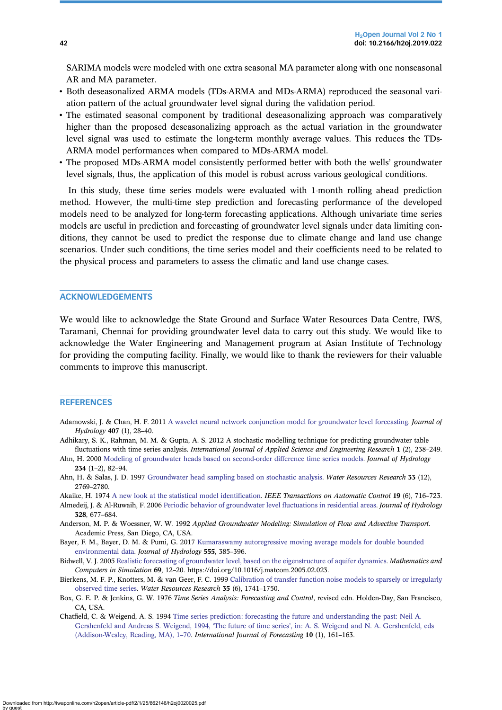SARIMA models were modeled with one extra seasonal MA parameter along with one nonseasonal AR and MA parameter.

- Both deseasonalized ARMA models (TDs-ARMA and MDs-ARMA) reproduced the seasonal variation pattern of the actual groundwater level signal during the validation period.
- The estimated seasonal component by traditional deseasonalizing approach was comparatively higher than the proposed deseasonalizing approach as the actual variation in the groundwater level signal was used to estimate the long-term monthly average values. This reduces the TDs-ARMA model performances when compared to MDs-ARMA model.
- The proposed MDs-ARMA model consistently performed better with both the wells' groundwater level signals, thus, the application of this model is robust across various geological conditions.

In this study, these time series models were evaluated with 1-month rolling ahead prediction method. However, the multi-time step prediction and forecasting performance of the developed models need to be analyzed for long-term forecasting applications. Although univariate time series models are useful in prediction and forecasting of groundwater level signals under data limiting conditions, they cannot be used to predict the response due to climate change and land use change scenarios. Under such conditions, the time series model and their coefficients need to be related to the physical process and parameters to assess the climatic and land use change cases.

#### ACKNOWLEDGEMENTS

We would like to acknowledge the State Ground and Surface Water Resources Data Centre, IWS, Taramani, Chennai for providing groundwater level data to carry out this study. We would like to acknowledge the Water Engineering and Management program at Asian Institute of Technology for providing the computing facility. Finally, we would like to thank the reviewers for their valuable comments to improve this manuscript.

#### **REFERENCES**

Adamowski, J. & Chan, H. F. 2011 A wavelet neural network conjunction model for groundwater level forecasting. *Journal of Hydrology* 407 (1), 28–40.

Adhikary, S. K., Rahman, M. M. & Gupta, A. S. 2012 A stochastic modelling technique for predicting groundwater table fluctuations with time series analysis. *International Journal of Applied Science and Engineering Research* 1 (2), 238–249.

- Ahn, H. 2000 Modeling of groundwater heads based on second-order difference time series models. *Journal of Hydrology* 234 (1–2), 82–94.
- Ahn, H. & Salas, J. D. 1997 Groundwater head sampling based on stochastic analysis. *Water Resources Research* 33 (12), 2769–2780.

Akaike, H. 1974 A new look at the statistical model identification. *IEEE Transactions on Automatic Control* 19 (6), 716–723.

Almedeij, J. & Al-Ruwaih, F. 2006 Periodic behavior of groundwater level fluctuations in residential areas. *Journal of Hydrology* 328, 677–684.

- Anderson, M. P. & Woessner, W. W. 1992 *Applied Groundwater Modeling: Simulation of Flow and Advective Transport*. Academic Press, San Diego, CA, USA.
- Bayer, F. M., Bayer, D. M. & Pumi, G. 2017 Kumaraswamy autoregressive moving average models for double bounded environmental data. *Journal of Hydrology* 555, 385–396.

Bidwell, V. J. 2005 Realistic forecasting of groundwater level, based on the eigenstructure of aquifer dynamics. *Mathematics and Computers in Simulation* 69, 12–20. https://doi.org/10.1016/j.matcom.2005.02.023.

- Bierkens, M. F. P., Knotters, M. & van Geer, F. C. 1999 Calibration of transfer function-noise models to sparsely or irregularly observed time series. *Water Resources Research* 35 (6), 1741–1750.
- Box, G. E. P. & Jenkins, G. W. 1976 *Time Series Analysis: Forecasting and Control*, revised edn. Holden-Day, San Francisco, CA, USA.
- Chatfield, C. & Weigend, A. S. 1994 Time series prediction: forecasting the future and understanding the past: Neil A. Gershenfeld and Andreas S. Weigend, 1994, 'The future of time series', in: A. S. Weigend and N. A. Gershenfeld, eds (Addison-Wesley, Reading, MA), 1–70. *International Journal of Forecasting* 10 (1), 161–163.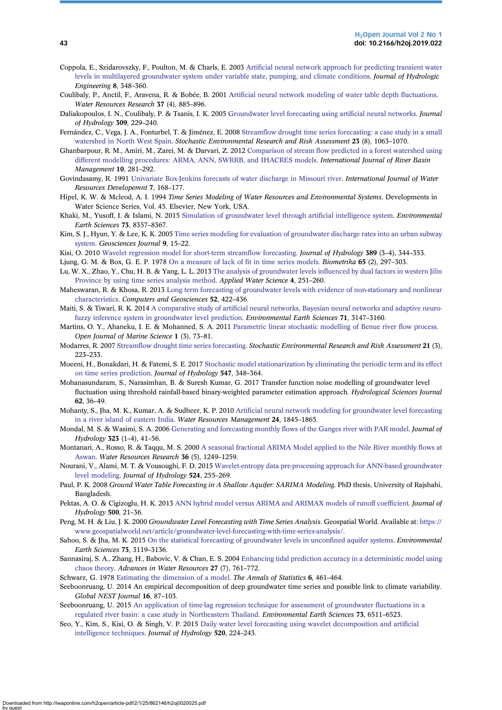- Coppola, E., Szidarovszky, F., Poulton, M. & Charls, E. 2003 Artificial neural network approach for predicting transient water levels in multilayered groundwater system under variable state, pumping, and climate conditions. *Journal of Hydrologic Engineering* 8, 348–360.
- Coulibaly, P., Anctil, F., Aravena, R. & Bobée, B. 2001 Artificial neural network modeling of water table depth fluctuations. *Water Resources Research* 37 (4), 885–896.
- Daliakopoulos, I. N., Coulibaly, P. & Tsanis, I. K. 2005 Groundwater level forecasting using artificial neural networks. *Journal of Hydrology* 309, 229–240.
- Fernández, C., Vega, J. A., Fonturbel, T. & Jiménez, E. 2008 Streamflow drought time series forecasting: a case study in a small watershed in North West Spain. *Stochastic Environmental Research and Risk Assessment* 23 (8), 1063–1070.
- Ghanbarpour, R. M., Amiri, M., Zarei, M. & Darvari, Z. 2012 Comparison of stream flow predicted in a forest watershed using different modelling procedures: ARMA, ANN, SWRRB, and IHACRES models. *International Journal of River Basin Management* 10, 281–292.
- Govindasamy, R. 1991 Univariate Box-Jenkins forecasts of water discharge in Missouri river. *International Journal of Water Resources Developemnt* 7, 168–177.
- Hipel, K. W. & Mcleod, A. I. 1994 *Time Series Modeling of Water Resources and Environmental Systems*. Developments in Water Science Series, Vol. 45. Elsevier, New York, USA.
- Khaki, M., Yusoff, I. & Islami, N. 2015 Simulation of groundwater level through artificial intelligence system. *Environmental Earth Sciences* 73, 8357–8367.
- Kim, S. J., Hyun, Y. & Lee, K. K. 2005 Time series modeling for evaluation of groundwater discharge rates into an urban subway system. *Geosciences Journal* 9, 15–22.
- Kisi, O. 2010 Wavelet regression model for short-term streamflow forecasting. *Journal of Hydrology* 389 (3–4), 344–353.
- Ljung, G. M. & Box, G. E. P. 1978 On a measure of lack of fit in time series models. *Biometrika* 65 (2), 297–303.
- Lu, W. X., Zhao, Y., Chu, H. B. & Yang, L. L. 2013 The analysis of groundwater levels influenced by dual factors in western Jilin Province by using time series analysis method. *Applied Water Science* 4, 251–260.
- Maheswaran, R. & Khosa, R. 2013 Long term forecasting of groundwater levels with evidence of non-stationary and nonlinear characteristics. *Computers and Geosciences* 52, 422–436.
- Maiti, S. & Tiwari, R. K. 2014 A comparative study of artificial neural networks, Bayesian neural networks and adaptive neurofuzzy inference system in groundwater level prediction. *Environmental Earth Sciences* 71, 3147–3160.
- Martins, O. Y., Ahaneku, I. E. & Mohanned, S. A. 2011 Parametric linear stochastic modelling of Benue river flow process. *Open Journal of Marine Science* 1 (3), 73–81.
- Modarres, R. 2007 Streamflow drought time series forecasting. *Stochastic Environmental Research and Risk Assessment* 21 (3), 223–233.
- Moeeni, H., Bonakdari, H. & Fatemi, S. E. 2017 Stochastic model stationarization by eliminating the periodic term and its effect on time series prediction. *Journal of Hydrology* 547, 348–364.
- Mohanasundaram, S., Narasimhan, B. & Suresh Kumar, G. 2017 Transfer function noise modelling of groundwater level fluctuation using threshold rainfall-based binary-weighted parameter estimation approach. *Hydrological Sciences Journal* 62, 36–49.
- Mohanty, S., Jha, M. K., Kumar, A. & Sudheer, K. P. 2010 Artificial neural network modeling for groundwater level forecasting in a river island of eastern India. *Water Resources Management* 24, 1845–1865.
- Mondal, M. S. & Wasimi, S. A. 2006 Generating and forecasting monthly flows of the Ganges river with PAR model. *Journal of Hydrology* 323 (1–4), 41–56.
- Montanari, A., Rosso, R. & Taqqu, M. S. 2000 A seasonal fractional ARIMA Model applied to the Nile River monthly flows at Aswan. *Water Resources Research* 36 (5), 1249–1259.
- Nourani, V., Alami, M. T. & Vousoughi, F. D. 2015 Wavelet-entropy data pre-processing approach for ANN-based groundwater level modeling. *Journal of Hydrology* 524, 255–269.
- Paul, P. K. 2008 *Ground Water Table Forecasting in A Shallow Aquifer: SARIMA Modeling*. PhD thesis, University of Rajshahi, Bangladesh.
- Pektas, A. O. & Cigizoglu, H. K. 2013 ANN hybrid model versus ARIMA and ARIMAX models of runoff coefficient. *Journal of Hydrology* 500, 21–36.
- Peng, M. H. & Liu, J. K. 2000 *Groundwater Level Forecasting with Time Series Analysis*. Geospatial World. Available at: https:// www.geospatialworld.net/article/groundwater-level-forecasting-with-time-series-analysis/.
- Sahoo, S. & Jha, M. K. 2015 On the statistical forecasting of groundwater levels in unconfined aquifer systems. *Environmental Earth Sciences* 73, 3119–3136.
- Sannasiraj, S. A., Zhang, H., Babovic, V. & Chan, E. S. 2004 Enhancing tidal prediction accuracy in a deterministic model using chaos theory. *Advances in Water Resources* 27 (7), 761–772.
- Schwarz, G. 1978 Estimating the dimension of a model. *The Annals of Statistics* 6, 461–464.
- Seeboonruang, U. 2014 An empirical decomposition of deep groundwater time series and possible link to climate variability. *Global NEST Journal* 16, 87–103.
- Seeboonruang, U. 2015 An application of time-lag regression technique for assessment of groundwater fluctuations in a regulated river basin: a case study in Northeastern Thailand. *Environmental Earth Sciences* 73, 6511–6523.
- Seo, Y., Kim, S., Kisi, O. & Singh, V. P. 2015 Daily water level forecasting using wavelet decomposition and artificial intelligence techniques. *Journal of Hydrology* 520, 224–243.